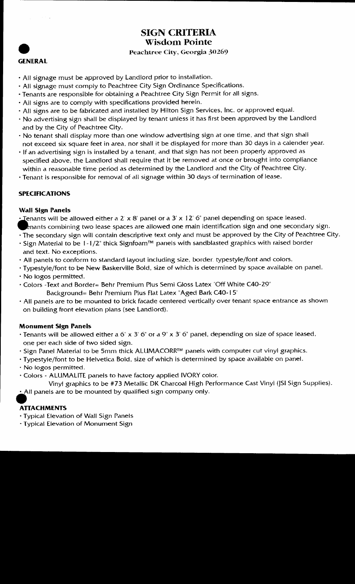

## SIGN CRITERIA Wisdom Pointe

### Peachtree City, Georgia 30269

- All signage must be approved by Landlord prior to installation
- · All signage must comply to Peachtree City Sign Ordinance Specifications.
- Tenants are responsible for obtaining a Peachtree City Sign Permit for all signs
- · All signs are to comply with specifications provided herein.
- · All signs are to be fabricated and installed by Hilton Sign Services, Inc. or approved equal.
- No advertising sign shall be displayed by tenant unless it has first been approved by the Landlord and by the City of Peachtree City
- $\cdot$  No tenant shall display more than one window advertising sign at one time, and that sign shall not exceed six square feet in area, nor shall it be displayed for more than 30 days in a calender year.
- If an advertising sign is installed by a tenant, and that sign has not been properly approved as specified above, the Landlord shall require that it be removed at once or brought into compliance within a reasonable time period as determined by the Landlord and the City of Peachtree City
- Tenant is responsible for removal of all signage within <sup>30</sup> days of termination of lease

### SPECIFICATIONS

#### Wall Sign Panels

**SPE**<br>
Wal<br>
. Te Tenants will be allowed either a  $2 \times 8$  panel or a  $3 \times 12$  6" panel depending on space leased.

- enants combining two lease spaces are allowed one main identification sign and one secondary sign.
- The secondary sign will contain descriptive text only and must be approved by the City of Peachtree City. • Sign Material to be 1-1/2" thick Signfoam<sup>TM</sup> panels with sandblasted graphics with raised border and text. No exceptions.
- All panels to conform to standard layout including size, border, typestyle/font and colors.
- · Typestyle/font to be New Baskerville Bold, size of which is determined by space available on panel.
- No logos permitted
- Colors Text and Border= Behr Premium Plus Semi Gloss Latex "Off White C40-29" Background= Behr Premium Plus Flat Latex "Aged Bark C40-15"
- All panels are to be mounted to brick facade centered vertically over tenant space entrance as shown on building front elevation plans (see Landlord).

### Monument Sign Panels

- $\cdot$  Tenants will be allowed either a 6" x 3' 6" or a 9" x 3' 6" panel, depending on size of space leased, one per each side of two sided sign
- · Sign Panel Material to be 5mm thick ALUMACORR™ panels with computer cut vinyl graphics.
- · Typestyle/font to be Helvetica Bold, size of which is determined by space available on panel.
- No logos permitted
- $\cdot$  Colors ALUMALITE panels to have factory applied IVORY color.

Vinyl graphics to be #73 Metallic DK Charcoal High Performance Cast Vinyl (JSI Sign Supplies).  $\cdot$  All panels are to be mounted by qualified sign company only.

### **ATTACHMENTS**

- Typical Elevation ofWall Sign Panels
- · Typical Elevation of Monument Sign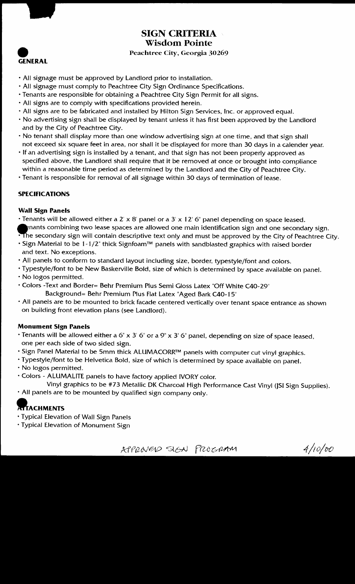

### SIGN CRITERIA Wisdom Pointe

### Peachtree City, Georgia 30269

- All signage must be approved by Landlord prior to installation
- All signage must comply to Peachtree City Sign Ordinance Specifications.
- Tenants are responsible for obtaining a Peachtree City Sign Permit for all signs
- $\cdot$  All signs are to comply with specifications provided herein.
- All signs are to be fabricated and installed by Hilton Sign Services, Inc. or approved equal.
- No advertising sign shall be displayed by tenant unless it has first been approved by the Landlord and by the City of Peachtree City
- No tenant shall display more than one window advertising sign at one time, and that sign shall not exceed six square feet in area, nor shall it be displayed for more than 30 days in a calender year.
- $\cdot$  If an advertising sign is installed by a tenant, and that sign has not been properly approved as specified above, the Landlord shall require that it be removed at once or brought into compliance within a reasonable time period as determined by the Landlord and the City of Peachtree City
- Tenant is responsible for removal of all signage within 30 days of termination of lease

### SPECIFICATIONS

### Wall Sign Panels

- Tenants will be allowed either a 2' x 8' panel or a 3' x 12' 6" panel depending on space leased
- ${\mathbf e}$ nants combining two lease spaces are allowed one main identification sign and one secondary sign. The secondary sign will contain descriptive text only and must be approved by the City of Peachtree City.
- . Sign Material to be 1-1/2" thick Signfoam™ panels with sandblasted graphics with raised border and text. No exceptions.
- All panels to conform to standard layout including size, border, typestyle/font and colors.
- · Typestyle/font to be New Baskerville Bold, size of which is determined by space available on panel. No logos permitted
- 
- Colors Text and Border= Behr Premium Plus Semi Gloss Latex "Off White C40-29" Background = Behr Premium Plus Flat Latex "Aged Bark C40-15"
- All panels are to be mounted to brick facade centered vertically over tenant space entrance as shown on building front elevation plans (see Landlord).

### Monument Sign Panels

- Tenants will be allowed either a 6" x 3' 6" or a 9" x 3' 6" panel, depending on size of space leased one per each side of two sided sign
- . Sign Panel Material to be 5mm thick ALUMACORR™ panels with computer cut vinyl graphics.
- · Typestyle/font to be Helvetica Bold, size of which is determined by space available on panel.
- No logos permitted
- Colors ALUMALITE panels to have factory applied IVORY color.
- Vinyl graphics to be #73 Metallic DK Charcoal High Performance Cast Vinyl (JSI Sign Supplies).
- All panels are to be mounted by qualified sign company only

# **TTACHMENTS**

- Typical Elevation ofWall Sign Panels
- Typical Elevation of Monument Sign

KPPROVERS STEN PROGRAM 4/10/00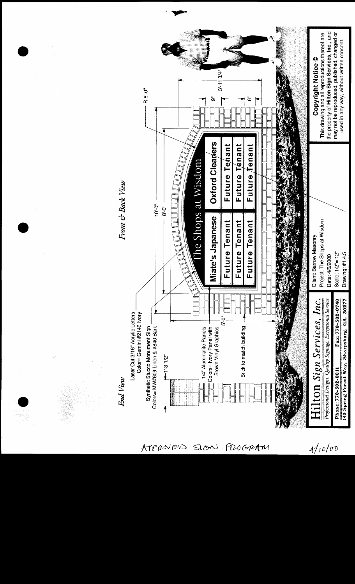

APPROVENS PROGRAM SIGN

 $4/10/00$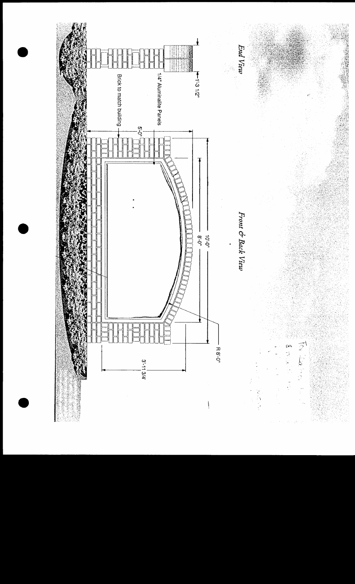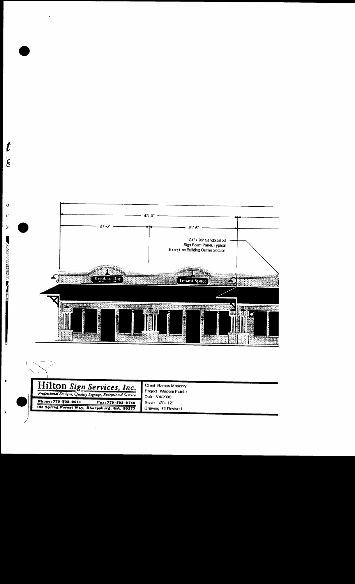

 $\boldsymbol{t}$ 

 $\mathbf{\dot{g}}$ 

 $\mathbf{o}^{\prime}$  $4"$ 

 $\mathbf{y}$ 

**THE REAL PROPERTY OF A REAL PROPERTY OF A REAL PROPERTY OF A REAL PROPERTY OF A REAL PROPERTY OF A REAL PROPERTY** 

ļ

 $\blacksquare$ 

 $\blacksquare$ 

| Hilton Sign Services, Inc.<br>Professional Designs, Quality Signage, Exceptional Service | Client: Barrow Masonry<br>Project: Wisdom Pointe<br>Date:8/4/2000 |
|------------------------------------------------------------------------------------------|-------------------------------------------------------------------|
| Phone: 770-502-0011<br>Fax: 770-502-0740<br>145 Spring Forest Way, Sharpsburg, GA. 50277 | Scale: 1/8"= 12"<br>Drawing: #1 Revised                           |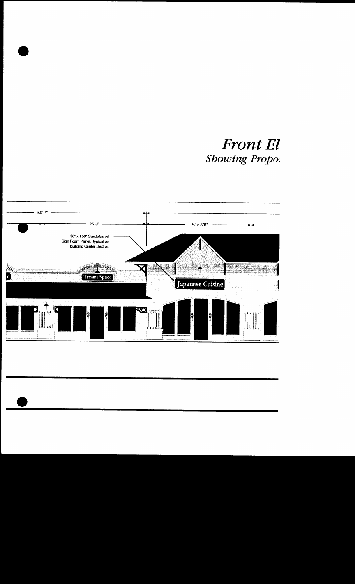**Front El Showing Propo:** 

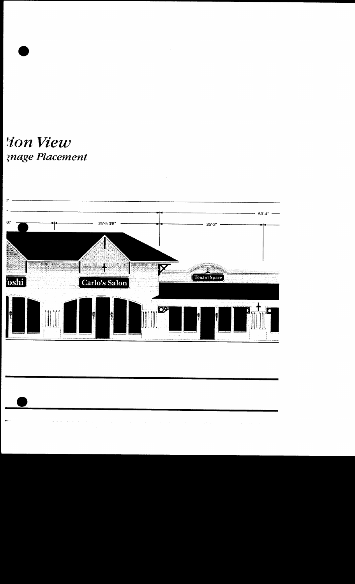tion View **znage Placement** 

es.

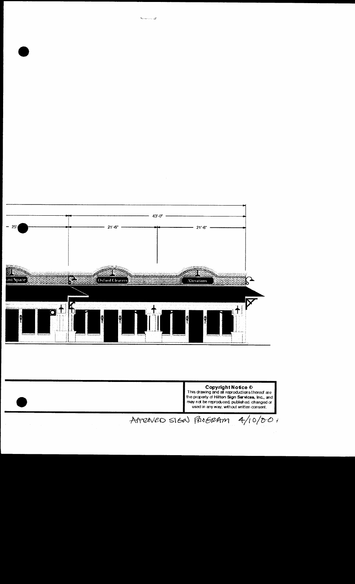

ها المستحية

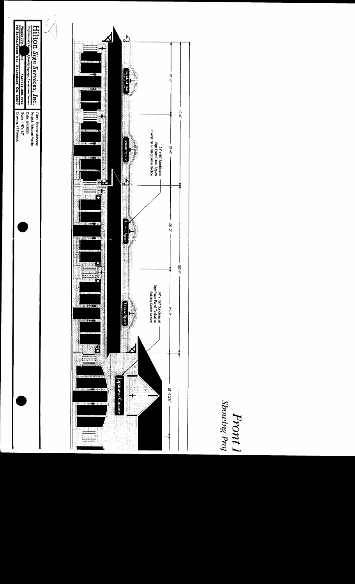

Front 1